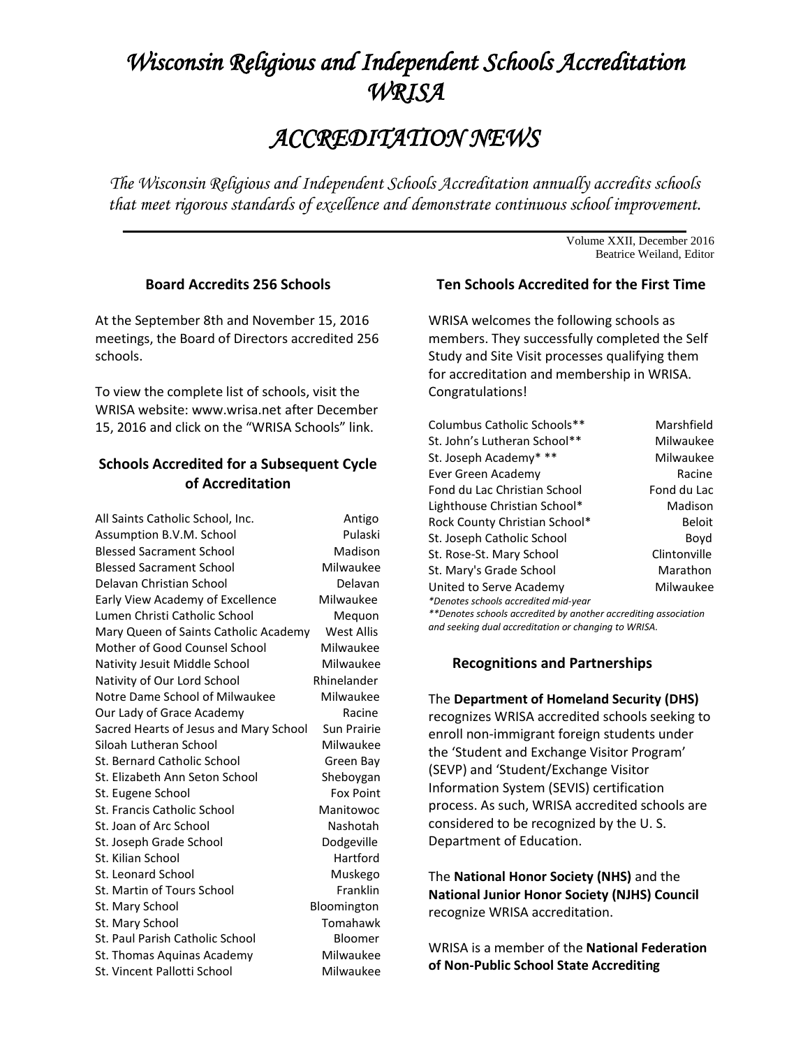# *Wisconsin Religious and Independent Schools Accreditation WRISA*

## *ACCREDITATION NEWS*

*The Wisconsin Religious and Independent Schools Accreditation annually accredits schools that meet rigorous standards of excellence and demonstrate continuous school improvement.*

 $\mathcal{L} = \{ \mathcal{L} \mid \mathcal{L} \in \mathcal{L} \}$  , where  $\mathcal{L} = \{ \mathcal{L} \mid \mathcal{L} \in \mathcal{L} \}$  ,  $\mathcal{L} = \{ \mathcal{L} \mid \mathcal{L} \in \mathcal{L} \}$ 

Volume XXII, December 2016 Beatrice Weiland, Editor

#### **Board Accredits 256 Schools**

At the September 8th and November 15, 2016 meetings, the Board of Directors accredited 256 schools.

To view the complete list of schools, visit the WRISA website: [www.wrisa.net](http://www.wrisa.net/) after December 15, 2016 and click on the "WRISA Schools" link.

### **Schools Accredited for a Subsequent Cycle of Accreditation**

| All Saints Catholic School, Inc.       | Antigo           |
|----------------------------------------|------------------|
| Assumption B.V.M. School               | Pulaski          |
| <b>Blessed Sacrament School</b>        | Madison          |
| <b>Blessed Sacrament School</b>        | Milwaukee        |
| Delavan Christian School               | Delavan          |
| Early View Academy of Excellence       | Milwaukee        |
| Lumen Christi Catholic School          | Mequon           |
| Mary Queen of Saints Catholic Academy  | West Allis       |
| Mother of Good Counsel School          | Milwaukee        |
| Nativity Jesuit Middle School          | Milwaukee        |
| Nativity of Our Lord School            | Rhinelander      |
| Notre Dame School of Milwaukee         | Milwaukee        |
| Our Lady of Grace Academy              | Racine           |
| Sacred Hearts of Jesus and Mary School | Sun Prairie      |
| Siloah Lutheran School                 | Milwaukee        |
| St. Bernard Catholic School            | Green Bay        |
| St. Elizabeth Ann Seton School         | Sheboygan        |
| St. Eugene School                      | <b>Fox Point</b> |
| St. Francis Catholic School            | Manitowoc        |
| St. Joan of Arc School                 | Nashotah         |
| St. Joseph Grade School                | Dodgeville       |
| St. Kilian School                      | Hartford         |
| St. Leonard School                     | Muskego          |
| St. Martin of Tours School             | Franklin         |
| St. Mary School                        | Bloomington      |
| St. Mary School                        | Tomahawk         |
| St. Paul Parish Catholic School        | Bloomer          |
| St. Thomas Aquinas Academy             | Milwaukee        |
| St. Vincent Pallotti School            | Milwaukee        |
|                                        |                  |

#### **Ten Schools Accredited for the First Time**

WRISA welcomes the following schools as members. They successfully completed the Self Study and Site Visit processes qualifying them for accreditation and membership in WRISA. Congratulations!

| Columbus Catholic Schools**          | Marshfield      |
|--------------------------------------|-----------------|
|                                      |                 |
| St. John's Lutheran School**         | Milwaukee       |
| St. Joseph Academy* **               | Milwaukee       |
| Ever Green Academy                   | Racine          |
| Fond du Lac Christian School         | Fond du Lac     |
| Lighthouse Christian School*         | Madison         |
| Rock County Christian School*        | Beloit          |
| St. Joseph Catholic School           | Boyd            |
| St. Rose-St. Mary School             | Clintonville    |
| St. Mary's Grade School              | <b>Marathon</b> |
| United to Serve Academy              | Milwaukee       |
| *Denotes schools accredited mid-year |                 |
|                                      |                 |

*\*\*Denotes schools accredited by another accrediting association and seeking dual accreditation or changing to WRISA.*

#### **Recognitions and Partnerships**

## The **Department of Homeland Security (DHS)** recognizes WRISA accredited schools seeking to enroll non-immigrant foreign students under the 'Student and Exchange Visitor Program' (SEVP) and 'Student/Exchange Visitor Information System (SEVIS) certification process. As such, WRISA accredited schools are considered to be recognized by the U. S. Department of Education.

The **National Honor Society (NHS)** and the **National Junior Honor Society (NJHS) Council** recognize WRISA accreditation.

WRISA is a member of the **National Federation of Non-Public School State Accrediting**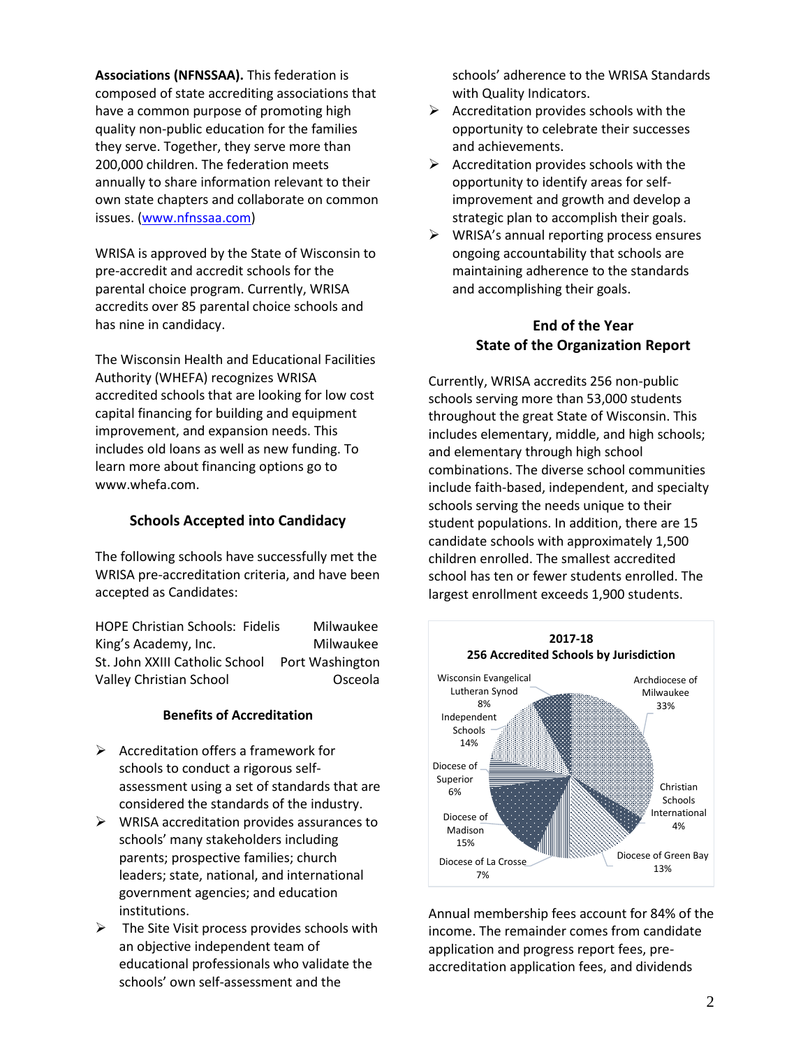**Associations (NFNSSAA).** This federation is composed of state accrediting associations that have a common purpose of promoting high quality non-public education for the families they serve. Together, they serve more than 200,000 children. The federation meets annually to share information relevant to their own state chapters and collaborate on common issues. [\(www.nfnssaa.com\)](http://www.nfnssaa.com/)

WRISA is approved by the State of Wisconsin to pre-accredit and accredit schools for the parental choice program. Currently, WRISA accredits over 85 parental choice schools and has nine in candidacy.

The Wisconsin Health and Educational Facilities Authority (WHEFA) recognizes WRISA accredited schools that are looking for low cost capital financing for building and equipment improvement, and expansion needs. This includes old loans as well as new funding. To learn more about financing options go to [www.whefa.com.](http://www.whefa.com/)

#### **Schools Accepted into Candidacy**

The following schools have successfully met the WRISA pre-accreditation criteria, and have been accepted as Candidates:

HOPE Christian Schools: Fidelis Milwaukee King's Academy, Inc. Milwaukee St. John XXIII Catholic School Port Washington Valley Christian School **Christian School** CSceola

#### **Benefits of Accreditation**

- $\triangleright$  Accreditation offers a framework for schools to conduct a rigorous selfassessment using a set of standards that are considered the standards of the industry.
- $\triangleright$  WRISA accreditation provides assurances to schools' many stakeholders including parents; prospective families; church leaders; state, national, and international government agencies; and education institutions.
- $\triangleright$  The Site Visit process provides schools with an objective independent team of educational professionals who validate the schools' own self-assessment and the

schools' adherence to the WRISA Standards with Quality Indicators.

- $\triangleright$  Accreditation provides schools with the opportunity to celebrate their successes and achievements.
- $\triangleright$  Accreditation provides schools with the opportunity to identify areas for selfimprovement and growth and develop a strategic plan to accomplish their goals.
- $\triangleright$  WRISA's annual reporting process ensures ongoing accountability that schools are maintaining adherence to the standards and accomplishing their goals.

## **End of the Year State of the Organization Report**

Currently, WRISA accredits 256 non-public schools serving more than 53,000 students throughout the great State of Wisconsin. This includes elementary, middle, and high schools; and elementary through high school combinations. The diverse school communities include faith-based, independent, and specialty schools serving the needs unique to their student populations. In addition, there are 15 candidate schools with approximately 1,500 children enrolled. The smallest accredited school has ten or fewer students enrolled. The largest enrollment exceeds 1,900 students.



Annual membership fees account for 84% of the income. The remainder comes from candidate application and progress report fees, preaccreditation application fees, and dividends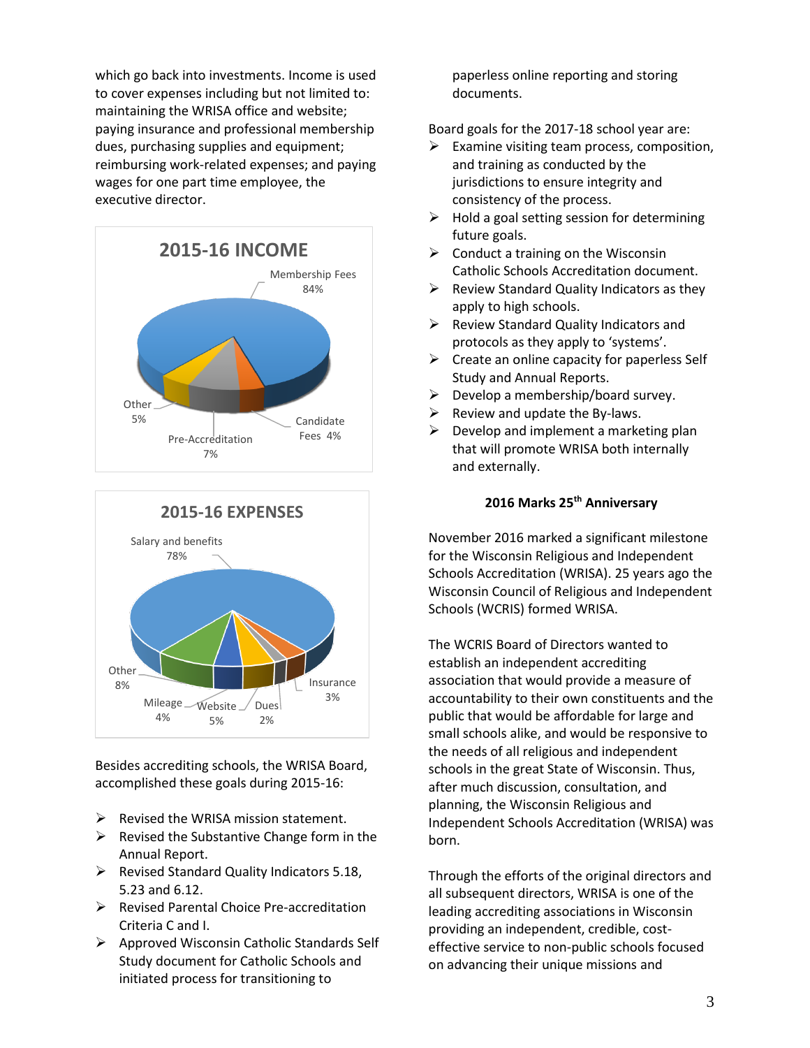which go back into investments. Income is used to cover expenses including but not limited to: maintaining the WRISA office and website; paying insurance and professional membership dues, purchasing supplies and equipment; reimbursing work-related expenses; and paying wages for one part time employee, the executive director.





Besides accrediting schools, the WRISA Board, accomplished these goals during 2015-16:

- $\triangleright$  Revised the WRISA mission statement.
- $\triangleright$  Revised the Substantive Change form in the Annual Report.
- $\triangleright$  Revised Standard Quality Indicators 5.18, 5.23 and 6.12.
- Revised Parental Choice Pre-accreditation Criteria C and I.
- $\triangleright$  Approved Wisconsin Catholic Standards Self Study document for Catholic Schools and initiated process for transitioning to

paperless online reporting and storing documents.

Board goals for the 2017-18 school year are:

- $\triangleright$  Examine visiting team process, composition, and training as conducted by the jurisdictions to ensure integrity and consistency of the process.
- $\triangleright$  Hold a goal setting session for determining future goals.
- $\triangleright$  Conduct a training on the Wisconsin Catholic Schools Accreditation document.
- $\triangleright$  Review Standard Quality Indicators as they apply to high schools.
- $\triangleright$  Review Standard Quality Indicators and protocols as they apply to 'systems'.
- $\triangleright$  Create an online capacity for paperless Self Study and Annual Reports.
- $\triangleright$  Develop a membership/board survey.
- $\triangleright$  Review and update the By-laws.
- $\triangleright$  Develop and implement a marketing plan that will promote WRISA both internally and externally.

#### **2016 Marks 25th Anniversary**

November 2016 marked a significant milestone for the Wisconsin Religious and Independent Schools Accreditation (WRISA). 25 years ago the Wisconsin Council of Religious and Independent Schools (WCRIS) formed WRISA.

The WCRIS Board of Directors wanted to establish an independent accrediting association that would provide a measure of accountability to their own constituents and the public that would be affordable for large and small schools alike, and would be responsive to the needs of all religious and independent schools in the great State of Wisconsin. Thus, after much discussion, consultation, and planning, the Wisconsin Religious and Independent Schools Accreditation (WRISA) was born.

Through the efforts of the original directors and all subsequent directors, WRISA is one of the leading accrediting associations in Wisconsin providing an independent, credible, costeffective service to non-public schools focused on advancing their unique missions and